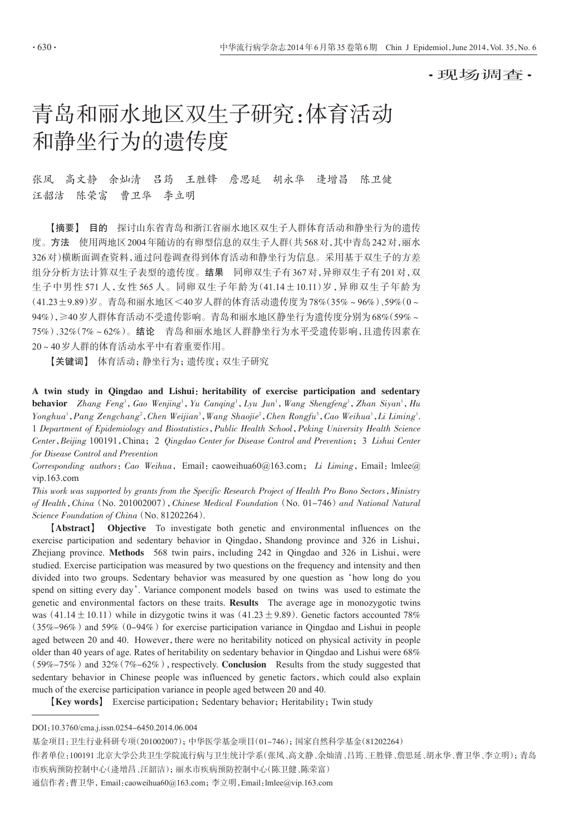·现场调查·

# 青岛和丽水地区双生子研究:体育活动 和静坐行为的遗传度

张凤 高文静 余灿清 吕筠 王胜锋 詹思延 胡永华 逄增昌 陈卫健 汪韶洁 陈荣富 曹卫华 李立明

【摘要】 目的 探讨山东省青岛和浙江省丽水地区双生子人群体育活动和静坐行为的遗传 度。方法 使用两地区2004年随访的有卵型信息的双生子人群(共568对,其中青岛242对,丽水 326对)横断面调查资料,通过问卷调查得到体育活动和静坐行为信息。采用基于双生子的方差 组分分析方法计算双生子表型的遗传度。结果 同卵双生子有367对,异卵双生子有201对,双 生子中男性 571 人,女性 565 人。同卵双生子年龄为(41.14±10.11)岁,异卵双生子年龄为 (41.23±9.89)岁。青岛和丽水地区<40岁人群的体育活动遗传度为78%(35%~96%)、59%(0~ 94%),≥40岁人群体育活动不受遗传影响。青岛和丽水地区静坐行为遗传度分别为68%(59%~ 75%)、32%(7%~62%)。结论 青岛和丽水地区人群静坐行为水平受遗传影响,且遗传因素在 20~40岁人群的体育活动水平中有着重要作用。

【关键词】 体育活动;静坐行为;遗传度;双生子研究

A twin study in Qingdao and Lishui: heritability of exercise participation and sedentary **behavior** Zhang Feng<sup>1</sup>, Gao Wenjing<sup>1</sup>, Yu Canqing<sup>1</sup>, Lyu Jun<sup>1</sup>, Wang Shengfeng<sup>1</sup>, Zhan Siyan<sup>1</sup>, Hu  $Yonghua<sup>1</sup>, Pang Zengchang<sup>2</sup>, Chen Weijian<sup>3</sup>, Wang Shaoji<sup>2</sup>, Chen Rongfu<sup>3</sup>, Cao Weihua<sup>1</sup>, Li Liminig<sup>1</sup>.$ 1 Department of Epidemiology and Biostatistics,Public Health School,Peking University Health Science Center,Beijing 100191,China;2 Qingdao Center for Disease Control and Prevention;3 Lishui Center for Disease Control and Prevention

Corresponding authors: Cao Weihua, Email: caoweihua60@163.com; Li Liming, Email: lmlee@ vip.163.com

This work was supported by grants from the Specific Research Project of Health Pro Bono Sectors,Ministry of Health, China (No. 201002007), Chinese Medical Foundation (No. 01-746) and National Natural Science Foundation of China (No. 81202264).

【Abstract】 Objective To investigate both genetic and environmental influences on the exercise participation and sedentary behavior in Qingdao, Shandong province and 326 in Lishui, Zhejiang province. Methods 568 twin pairs, including 242 in Qingdao and 326 in Lishui, were studied. Exercise participation was measured by two questions on the frequency and intensity and then divided into two groups. Sedentary behavior was measured by one question as'how long do you spend on sitting every day'. Variance component models based on twins was used to estimate the genetic and environmental factors on these traits. **Results** The average age in monozygotic twins was (41.14 $\pm$ 10.11) while in dizygotic twins it was (41.23 $\pm$ 9.89). Genetic factors accounted 78%  $(35\%-96\%)$  and  $59\%$   $(0-94\%)$  for exercise participation variance in Qingdao and Lishui in people aged between 20 and 40. However, there were no heritability noticed on physical activity in people older than 40 years of age. Rates of heritability on sedentary behavior in Qingdao and Lishui were 68%  $(59\% - 75\%)$  and  $32\%$  (7\% $-62\%$ ), respectively. Conclusion Results from the study suggested that sedentary behavior in Chinese people was influenced by genetic factors, which could also explain much of the exercise participation variance in people aged between 20 and 40.

[Key words] Exercise participation; Sedentary behavior; Heritability; Twin study

DOI:10.3760/cma.j.issn.0254-6450.2014.06.004

基金项目:卫生行业科研专项(201002007);中华医学基金项目(01-746);国家自然科学基金(81202264)

作者单位:100191 北京大学公共卫生学院流行病与卫生统计学系(张凤、高文静、余灿清、吕筠、王胜锋、詹思延、胡永华、曹卫华、李立明);青岛 市疾病预防控制中心(逄增昌、汪韶洁);丽水市疾病预防控制中心(陈卫健、陈荣富)

通信作者:曹卫华,Email:caoweihua60@163.com;李立明,Email:lmlee@vip.163.com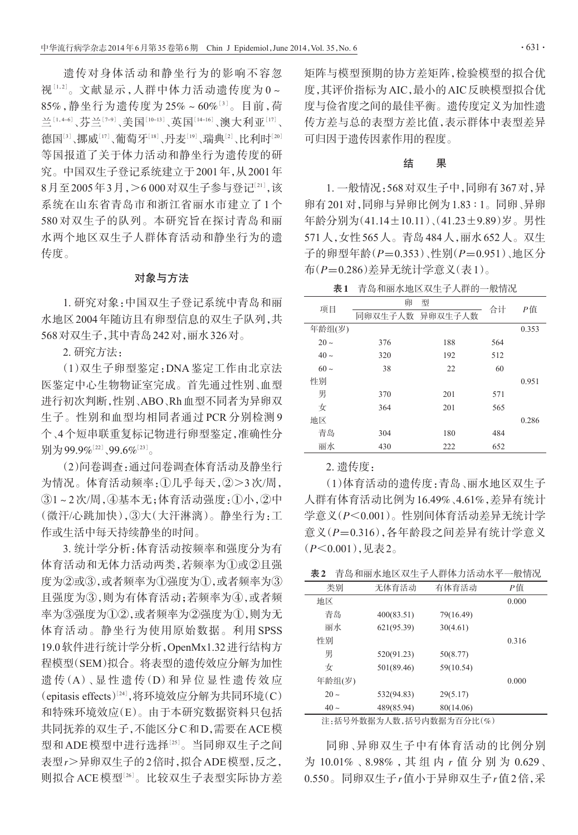遗传对身体活动和静坐行为的影响不容忽 视[1,2]。文献显示,人群中体力活动遗传度为 0~ 85%,静坐行为遗传度为 25%~60%[<sup>3</sup>] 。目前,荷 兰[1,4-6]、芬兰[7-9]、美国[10-13]、英国[14-16]、澳大利亚[17]、 德国『3 、挪威『17 、葡萄牙『8』、丹麦『9』、瑞典『2』、比利时『20』 等国报道了关于体力活动和静坐行为遗传度的研 究。中国双生子登记系统建立于2001年,从2001年  $8$ 月至2005年3月,>6 000对双生子参与登记 $^{\scriptscriptstyle[21]}$ ,该 系统在山东省青岛市和浙江省丽水市建立了 1 个 580 对双生子的队列。本研究旨在探讨青岛和丽 水两个地区双生子人群体育活动和静坐行为的遗 传度。

#### 对象与方法

1. 研究对象:中国双生子登记系统中青岛和丽 水地区2004年随访且有卵型信息的双生子队列,共 568对双生子,其中青岛242对,丽水326对。

2. 研究方法:

(1)双生子卵型鉴定:DNA 鉴定工作由北京法 医鉴定中心生物物证室完成。首先通过性别、血型 进行初次判断,性别、ABO、Rh血型不同者为异卵双 生子。性别和血型均相同者通过 PCR 分别检测 9 个、4个短串联重复标记物进行卵型鉴定,准确性分 别为99.9% $^{[22]}$ 、99.6% $^{[23]}$ 。

(2)问卷调查:通过问卷调查体育活动及静坐行 为情况。体育活动频率:①几乎每天,②>3次/周, ③1~2次/周,④基本无;体育活动强度:①小,②中 (微汗/心跳加快),③大(大汗淋漓)。静坐行为:工 作或生活中每天持续静坐的时间。

3. 统计学分析:体育活动按频率和强度分为有 体育活动和无体力活动两类,若频率为①或②且强 度为②或③,或者频率为①强度为①,或者频率为③ 且强度为③,则为有体育活动;若频率为④,或者频 率为③强度为①②,或者频率为②强度为①,则为无 体育活动。静坐行为使用原始数据。利用 SPSS 19.0软件进行统计学分析,OpenMx1.32进行结构方 程模型(SEM)拟合。将表型的遗传效应分解为加性 遗 传(A)、显 性 遗 传(D)和 异 位 显 性 遗 传 效 应 (epitasis effects)<sup>[24]</sup>,将环境效应分解为共同环境(C) 和特殊环境效应(E)。由于本研究数据资料只包括 共同抚养的双生子,不能区分C和D,需要在ACE模 型和ADE模型中进行选择<sup>[25]</sup>。当同卵双生子之间 表型r>异卵双生子的2倍时,拟合ADE模型,反之, 则拟合 ACE 模型<sup>[26]</sup>。比较双生子表型实际协方差

矩阵与模型预期的协方差矩阵,检验模型的拟合优 度,其评价指标为AIC,最小的AIC反映模型拟合优 度与俭省度之间的最佳平衡。遗传度定义为加性遗 传方差与总的表型方差比值,表示群体中表型差异 可归因于遗传因素作用的程度。

### 结 果

1. 一般情况:568对双生子中,同卵有367对,异 卵有201对,同卵与异卵比例为1.83 ∶ 1。同卵、异卵 年龄分别为(41.14±10.11)、(41.23±9.89)岁。男性 571人,女性565人。青岛484人,丽水652人。双生 子的卵型年龄(P=0.353)、性别(P=0.951)、地区分 布(P=0.286)差异无统计学意义(表1)。

表1 青岛和丽水地区双生子人群的一般情况

| 项目        | 卵<br>型 |                 | 合计  |       |
|-----------|--------|-----------------|-----|-------|
|           |        | 同卵双生子人数 异卵双生子人数 |     | Р值    |
| 年龄组(岁)    |        |                 |     | 0.353 |
| $20 \sim$ | 376    | 188             | 564 |       |
| $40 \sim$ | 320    | 192             | 512 |       |
| $60 \sim$ | 38     | 22              | 60  |       |
| 性别        |        |                 |     | 0.951 |
| 男         | 370    | 201             | 571 |       |
| 女         | 364    | 201             | 565 |       |
| 地区        |        |                 |     | 0.286 |
| 青岛        | 304    | 180             | 484 |       |
| 丽水        | 430    | 222             | 652 |       |

2. 遗传度:

(1)体育活动的遗传度:青岛、丽水地区双生子 人群有体育活动比例为16.49%、4.61%,差异有统计 学意义(P<0.001)。性别间体育活动差异无统计学 意义(P=0.316),各年龄段之间差异有统计学意义 (P<0.001),见表2。

表2 青岛和丽水地区双生子人群体力活动水平一般情况

| 类别        | 无体育活动      | 有体育活动     | Р值    |
|-----------|------------|-----------|-------|
| 地区        |            |           | 0.000 |
| 青岛        | 400(83.51) | 79(16.49) |       |
| 丽水        | 621(95.39) | 30(4.61)  |       |
| 性别        |            |           | 0.316 |
| 男         | 520(91.23) | 50(8.77)  |       |
| 女         | 501(89.46) | 59(10.54) |       |
| 年龄组(岁)    |            |           | 0.000 |
| $20 -$    | 532(94.83) | 29(5.17)  |       |
| $40 \sim$ | 489(85.94) | 80(14.06) |       |
|           |            |           |       |

注:括号外数据为人数,括号内数据为百分比(%)

同卵、异卵双生子中有体育活动的比例分别 为 10.01%、8.98%, 其 组 内 r 值 分 别 为 0.629、 0.550。同卵双生子r值小于异卵双生子r值2倍,采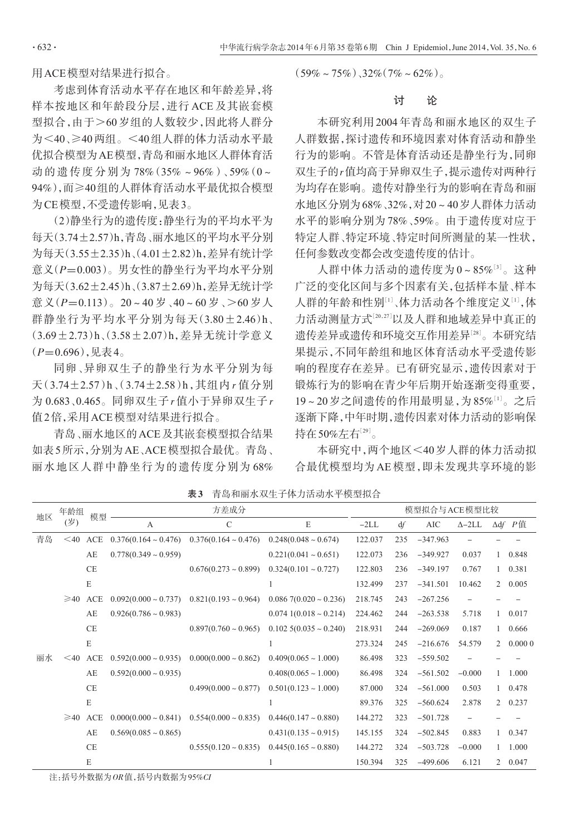用ACE模型对结果进行拟合。

考虑到体育活动水平存在地区和年龄差异,将 样本按地区和年龄段分层,进行 ACE 及其嵌套模 型拟合,由于>60 岁组的人数较少,因此将人群分 为<40、≥40两组。<40组人群的体力活动水平最 优拟合模型为AE模型,青岛和丽水地区人群体育活 动的遗传度分别为78%(35%~96%)、59%(0~ 94%),而≥40组的人群体育活动水平最优拟合模型 为CE模型,不受遗传影响,见表3。

(2)静坐行为的遗传度:静坐行为的平均水平为 每天(3.74±2.57)h,青岛、丽水地区的平均水平分别 为每天(3.55±2.35)h、(4.01±2.82)h,差异有统计学 意义(P=0.003)。男女性的静坐行为平均水平分别 为每天(3.62±2.45)h、(3.87±2.69)h,差异无统计学 意义(P=0.113)。20~40岁、40~60岁、>60岁人 群静坐行为平均水平分别为每天(3.80±2.46)h、 (3.69±2.73)h、(3.58±2.07)h,差异无统计学意义  $(P=0.696)$ ,见表 $4<sub>°</sub>$ 

同卵、异卵双生子的静坐行为水平分别为每 天(3.74±2.57)h、(3.74±2.58)h,其组内 r 值分别 为 0.683、0.465。同卵双生子 r 值小于异卵双生子 r 值2倍,采用ACE模型对结果进行拟合。

青岛、丽水地区的ACE及其嵌套模型拟合结果 如表5所示,分别为AE、ACE模型拟合最优。青岛、 丽水地区人群中静坐行为的遗传度分别为 68%  $(59\% \sim 75\%)$ , 32% $(7\% \sim 62\%)$ 

# 讨 论

本研究利用 2004 年青岛和丽水地区的双生子 人群数据,探讨遗传和环境因素对体育活动和静坐 行为的影响。不管是体育活动还是静坐行为,同卵 双生子的r值均高于异卵双生子,提示遗传对两种行 为均存在影响。遗传对静坐行为的影响在青岛和丽 水地区分别为68%、32%,对20~40岁人群体力活动 水平的影响分别为 78%、59%。由于遗传度对应于 特定人群、特定环境、特定时间所测量的某一性状, 任何参数改变都会改变遗传度的估计。

人群中体力活动的遗传度为 0~85%[<sup>3</sup>] 。这种 广泛的变化区间与多个因素有关,包括样本量、样本 人群的年龄和性别[1]、体力活动各个维度定义[1],体 力活动测量方式[<sup>20</sup>,27] 以及人群和地域差异中真正的 遗传差异或遗传和环境交互作用差异[<sup>28</sup>] 。本研究结 果提示,不同年龄组和地区体育活动水平受遗传影 响的程度存在差异。已有研究显示,遗传因素对于 锻炼行为的影响在青少年后期开始逐渐变得重要, 19~20岁之间遗传的作用最明显,为85% $^{[1]}$ 。之后 逐渐下降,中年时期,遗传因素对体力活动的影响保 持在50%左右 $^{\left\lfloor 29\right\rfloor}$ 。

本研究中,两个地区<40岁人群的体力活动拟 合最优模型均为 AE 模型,即未发现共享环境的影

| 年龄组<br>地区 |           | 模型        | 方差成分                      |                           |                            | 模型拟合与ACE模型比较  |     |            |          |                |                |  |                               |
|-----------|-----------|-----------|---------------------------|---------------------------|----------------------------|---------------|-----|------------|----------|----------------|----------------|--|-------------------------------|
|           | (岁)       |           |                           |                           | A                          | $\mathcal{C}$ | E   | $-2LL$     | df       | <b>AIC</b>     | $\Delta - 2LL$ |  | $\Delta df$ $P$ ( $\dot{H}$ ) |
| 青岛        | $<$ 40    | ACE       | $0.376(0.164 \sim 0.476)$ | $0.376(0.164 \sim 0.476)$ | $0.248(0.048 \sim 0.674)$  | 122.037       | 235 | $-347.963$ |          |                |                |  |                               |
|           |           | AE        | $0.778(0.349 \sim 0.959)$ |                           | $0.221(0.041 \sim 0.651)$  | 122.073       | 236 | $-349.927$ | 0.037    |                | 0.848          |  |                               |
|           |           | CE        |                           | $0.676(0.273 \sim 0.899)$ | $0.324(0.101 \sim 0.727)$  | 122.803       | 236 | $-349.197$ | 0.767    |                | 0.381          |  |                               |
|           |           | E         |                           |                           |                            | 132.499       | 237 | $-341.501$ | 10.462   | $\overline{2}$ | 0.005          |  |                               |
|           | $\geq 40$ | ACE       | $0.092(0.000 \sim 0.737)$ | $0.821(0.193 \sim 0.964)$ | $0.0867(0.020 \sim 0.236)$ | 218.745       | 243 | $-267.256$ |          |                |                |  |                               |
|           |           | AE        | $0.926(0.786 \sim 0.983)$ |                           | $0.0741(0.018 \sim 0.214)$ | 224.462       | 244 | $-263.538$ | 5.718    |                | 0.017          |  |                               |
|           |           | CE        |                           | $0.897(0.760 \sim 0.965)$ | $0.102$ 5(0.035 ~ 0.240)   | 218.931       | 244 | $-269.069$ | 0.187    |                | 0.666          |  |                               |
|           |           | E         |                           |                           |                            | 273.324       | 245 | $-216.676$ | 54.579   | $\overline{2}$ | 0.0000         |  |                               |
| 丽水        | $\leq 40$ | ACE       | $0.592(0.000 \sim 0.935)$ | $0.000(0.000 - 0.862)$    | $0.409(0.065 \sim 1.000)$  | 86.498        | 323 | $-559.502$ |          |                |                |  |                               |
|           |           | AE        | $0.592(0.000 \sim 0.935)$ |                           | $0.408(0.065 \sim 1.000)$  | 86.498        | 324 | $-561.502$ | $-0.000$ | 1              | 1.000          |  |                               |
|           |           | <b>CE</b> |                           | $0.499(0.000 \sim 0.877)$ | $0.501(0.123 \sim 1.000)$  | 87.000        | 324 | $-561.000$ | 0.503    | 1              | 0.478          |  |                               |
|           |           | E         |                           |                           |                            | 89.376        | 325 | $-560.624$ | 2.878    | $\overline{2}$ | 0.237          |  |                               |
|           | $\geq 40$ | ACE       | $0.000(0.000 - 0.841)$    | $0.554(0.000 \sim 0.835)$ | $0.446(0.147 \sim 0.880)$  | 144.272       | 323 | $-501.728$ |          |                |                |  |                               |
|           |           | AE        | $0.569(0.085 \sim 0.865)$ |                           | $0.431(0.135 \sim 0.915)$  | 145.155       | 324 | $-502.845$ | 0.883    |                | 0.347          |  |                               |
|           |           | <b>CE</b> |                           | $0.555(0.120 \sim 0.835)$ | $0.445(0.165 \sim 0.880)$  | 144.272       | 324 | $-503.728$ | $-0.000$ |                | 1.000          |  |                               |
|           |           | E         |                           |                           |                            | 150.394       | 325 | $-499.606$ | 6.121    | 2              | 0.047          |  |                               |

表3 青岛和丽水双生子体力活动水平模型拟合

注:括号外数据为OR值,括号内数据为95%CI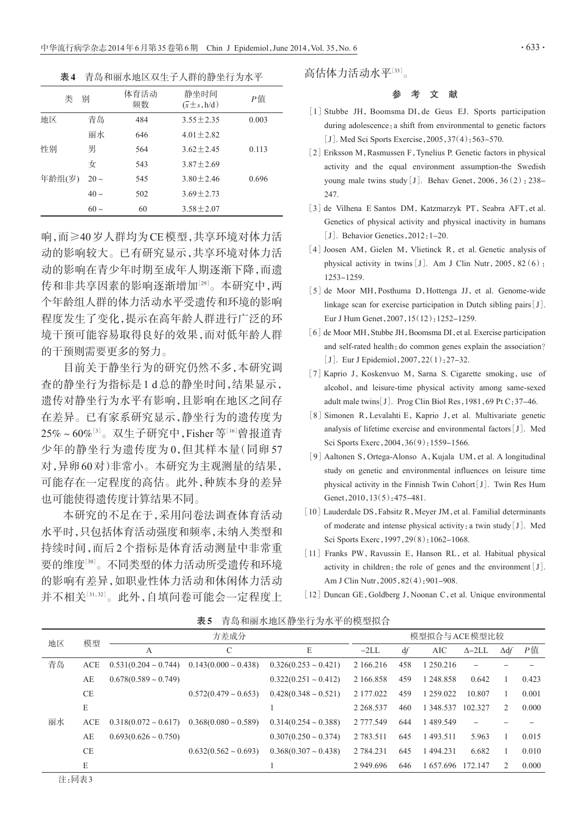表4 青岛和丽水地区双生子人群的静坐行为水平

| 类      | 别         | 体育活动<br>频数 | 静坐时间<br>$(\overline{x} \pm s, h/d)$ | Р值    |
|--------|-----------|------------|-------------------------------------|-------|
| 地区     | 青岛        | 484        | $3.55 + 2.35$                       | 0.003 |
|        | 丽水        | 646        | $4.01 + 2.82$                       |       |
| 性别     | 男         | 564        | $3.62 + 2.45$                       | 0.113 |
|        | 女         | 543        | $3.87 + 2.69$                       |       |
| 年龄组(岁) | $20 \sim$ | 545        | $3.80 + 2.46$                       | 0.696 |
|        | $40 \sim$ | 502        | $3.69 + 2.73$                       |       |
|        | $60 -$    | 60         | $3.58 + 2.07$                       |       |

响,而≥40岁人群均为CE模型,共享环境对体力活 动的影响较大。已有研究显示,共享环境对体力活 动的影响在青少年时期至成年人期逐渐下降,而遗 传和非共享因素的影响逐渐增加[<sup>29</sup>] 。本研究中,两 个年龄组人群的体力活动水平受遗传和环境的影响 程度发生了变化,提示在高年龄人群进行广泛的环 境干预可能容易取得良好的效果,而对低年龄人群 的干预则需要更多的努力。

目前关于静坐行为的研究仍然不多,本研究调 查的静坐行为指标是1 d总的静坐时间,结果显示, 遗传对静坐行为水平有影响,且影响在地区之间存 在差异。已有家系研究显示,静坐行为的遗传度为 25%~60%'<sup>3'</sup>。双生子研究中,Fisher等<sup>[16]</sup>曾报道青 少年的静坐行为遗传度为 0,但其样本量(同卵 57 对,异卵60对)非常小。本研究为主观测量的结果, 可能存在一定程度的高估。此外,种族本身的差异 也可能使得遗传度计算结果不同。

本研究的不足在于,采用问卷法调查体育活动 水平时,只包括体育活动强度和频率,未纳入类型和 持续时间,而后2个指标是体育活动测量中非常重 要的维度[<sup>30</sup>] 。不同类型的体力活动所受遗传和环境 的影响有差异,如职业性体力活动和休闲体力活动 并不相关[<sup>31</sup>,32] 。此外,自填问卷可能会一定程度上 高估体力活动水平[33]。

# 参 考 文 献

- [1] Stubbe JH, Boomsma DI, de Geus EJ. Sports participation during adolescence: a shift from environmental to genetic factors [J]. Med Sci Sports Exercise, 2005, 37(4): 563-570.
- [2] Eriksson M, Rasmussen F, Tynelius P. Genetic factors in physical activity and the equal environment assumption-the Swedish young male twins study [J]. Behav Genet,  $2006$ ,  $36(2)$ : 238-247.
- [3] de Vilhena E Santos DM, Katzmarzyk PT, Seabra AFT, et al. Genetics of physical activity and physical inactivity in humans [J]. Behavior Genetics, 2012: 1-20.
- [4] Joosen AM, Gielen M, Vlietinck R, et al. Genetic analysis of physical activity in twins [J]. Am J Clin Nutr,  $2005$ ,  $82(6)$ : 1253-1259.
- [5] de Moor MH, Posthuma D, Hottenga JJ, et al. Genome-wide linkage scan for exercise participation in Dutch sibling pairs[J]. Eur J Hum Genet,2007,15(12):1252-1259.
- [6] de Moor MH, Stubbe JH, Boomsma DI, et al. Exercise participation and self-rated health: do common genes explain the association? [J]. Eur J Epidemiol, 2007, 22(1): 27–32.
- [7] Kaprio J, Koskenvuo M, Sarna S. Cigarette smoking, use of alcohol, and leisure-time physical activity among same-sexed adult male twins[J]. Prog Clin Biol Res, 1981, 69 Pt C: 37-46.
- [8] Simonen R, Levalahti E, Kaprio J, et al. Multivariate genetic analysis of lifetime exercise and environmental factors[J]. Med Sci Sports Exerc, 2004, 36(9): 1559-1566.
- [9]Aaltonen S,Ortega-Alonso A,Kujala UM,et al. A longitudinal study on genetic and environmental influences on leisure time physical activity in the Finnish Twin Cohort[J]. Twin Res Hum Genet, 2010, 13(5): 475-481.
- [10] Lauderdale DS, Fabsitz R, Meyer JM, et al. Familial determinants of moderate and intense physical activity:a twin study[J]. Med Sci Sports Exerc, 1997, 29(8): 1062-1068.
- [11] Franks PW, Ravussin E, Hanson RL, et al. Habitual physical activity in children: the role of genes and the environment  $[J]$ . Am J Clin Nutr,2005,82(4):901-908.
- [12] Duncan GE, Goldberg J, Noonan C, et al. Unique environmental

| 地区 | 模型        | 方差成分                      |                           | 模型拟合与ACE模型比较              |            |     |            |                |             |       |
|----|-----------|---------------------------|---------------------------|---------------------------|------------|-----|------------|----------------|-------------|-------|
|    |           | А                         | $\mathcal{C}$             | E                         | $-2LL$     | df  | <b>AIC</b> | $\Delta - 2LL$ | $\Delta df$ | $P$ 值 |
| 青岛 | ACE       | $0.531(0.204 \sim 0.744)$ | $0.143(0.000 \sim 0.438)$ | $0.326(0.253 \sim 0.421)$ | 2 166.216  | 458 | 1 250.216  |                |             |       |
|    | AE        | $0.678(0.589 \sim 0.749)$ |                           | $0.322(0.251 \sim 0.412)$ | 2 166.858  | 459 | 1 248.858  | 0.642          |             | 0.423 |
|    | <b>CE</b> |                           | $0.572(0.479 \sim 0.653)$ | $0.428(0.348 \sim 0.521)$ | 2 177 0 22 | 459 | 1 259,022  | 10.807         |             | 0.001 |
|    | E         |                           |                           |                           | 2 2 68.537 | 460 | 1 348.537  | 102.327        |             | 0.000 |
| 丽水 | ACE       | $0.318(0.072 \sim 0.617)$ | $0.368(0.080 \sim 0.589)$ | $0.314(0.254 \sim 0.388)$ | 2 777.549  | 644 | 1489.549   |                |             |       |
|    | AE        | $0.693(0.626 \sim 0.750)$ |                           | $0.307(0.250 \sim 0.374)$ | 2 783.511  | 645 | 1493.511   | 5.963          |             | 0.015 |
|    | <b>CE</b> |                           | $0.632(0.562 \sim 0.693)$ | $0.368(0.307 \sim 0.438)$ | 2 784.231  | 645 | 1494.231   | 6.682          |             | 0.010 |
|    | E         |                           |                           |                           | 2 949.696  | 646 | 1657.696   | 172.147        |             | 0.000 |
|    |           |                           |                           |                           |            |     |            |                |             |       |

表5 青岛和丽水地区静坐行为水平的模型拟合

注:同表3